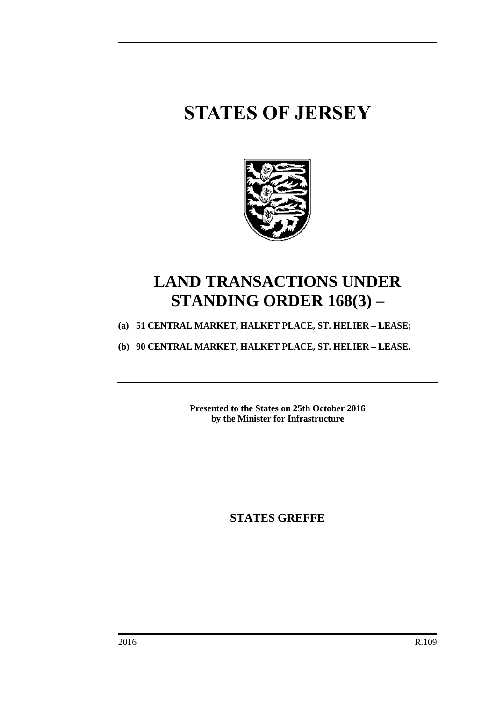# **STATES OF JERSEY**



## **LAND TRANSACTIONS UNDER STANDING ORDER 168(3) –**

**(a) 51 CENTRAL MARKET, HALKET PLACE, ST. HELIER – LEASE;**

**(b) 90 CENTRAL MARKET, HALKET PLACE, ST. HELIER – LEASE.**

**Presented to the States on 25th October 2016 by the Minister for Infrastructure**

**STATES GREFFE**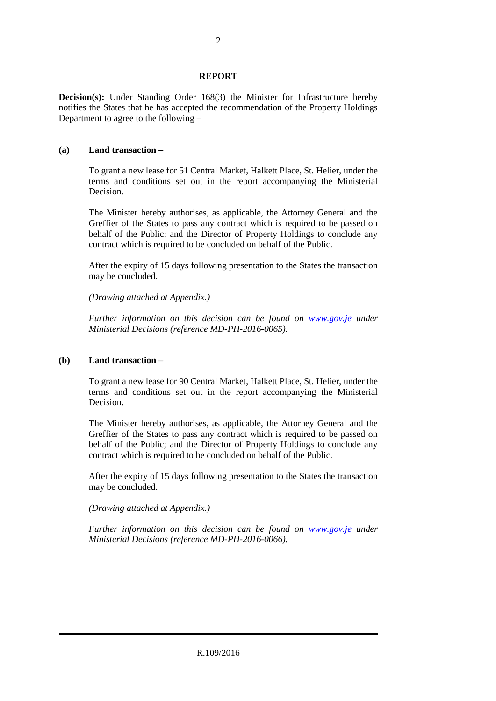#### **REPORT**

**Decision(s):** Under Standing Order 168(3) the Minister for Infrastructure hereby notifies the States that he has accepted the recommendation of the Property Holdings Department to agree to the following –

### **(a) Land transaction –**

To grant a new lease for 51 Central Market, Halkett Place, St. Helier, under the terms and conditions set out in the report accompanying the Ministerial Decision.

The Minister hereby authorises, as applicable, the Attorney General and the Greffier of the States to pass any contract which is required to be passed on behalf of the Public; and the Director of Property Holdings to conclude any contract which is required to be concluded on behalf of the Public.

After the expiry of 15 days following presentation to the States the transaction may be concluded.

*(Drawing attached at Appendix.)*

*Further information on this decision can be found on <i>[www.gov.je](http://www.gov.je/)* under *Ministerial Decisions (reference MD-PH-2016-0065).*

#### **(b) Land transaction –**

To grant a new lease for 90 Central Market, Halkett Place, St. Helier, under the terms and conditions set out in the report accompanying the Ministerial Decision.

The Minister hereby authorises, as applicable, the Attorney General and the Greffier of the States to pass any contract which is required to be passed on behalf of the Public; and the Director of Property Holdings to conclude any contract which is required to be concluded on behalf of the Public.

After the expiry of 15 days following presentation to the States the transaction may be concluded.

*(Drawing attached at Appendix.)*

*Further information on this decision can be found on <i>[www.gov.je](http://www.gov.je/)* under *Ministerial Decisions (reference MD-PH-2016-0066).*